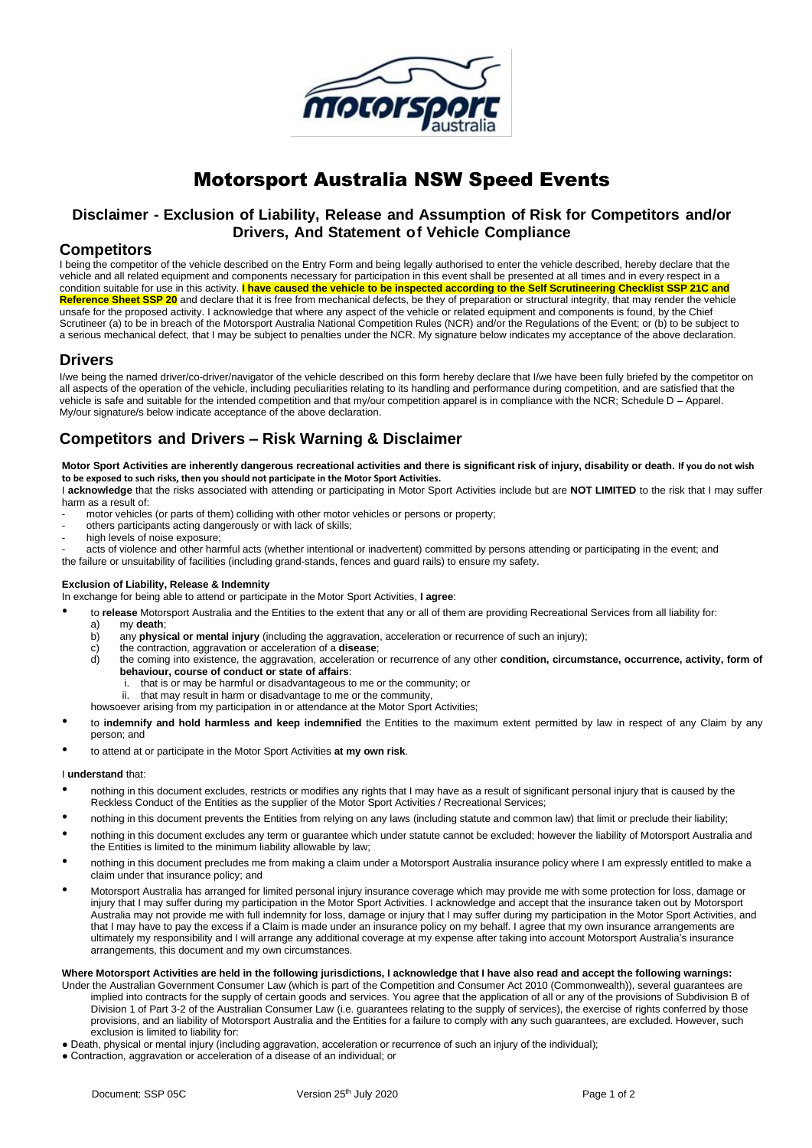

# Motorsport Australia NSW Speed Events

# **Disclaimer - Exclusion of Liability, Release and Assumption of Risk for Competitors and/or Drivers, And Statement of Vehicle Compliance**

## **Competitors**

I being the competitor of the vehicle described on the Entry Form and being legally authorised to enter the vehicle described, hereby declare that the vehicle and all related equipment and components necessary for participation in this event shall be presented at all times and in every respect in a condition suitable for use in this activity. **I have caused the vehicle to be inspected according to the Self Scrutineering Checklist SSP 21C and**  Reference Sheet SSP 20 and declare that it is free from mechanical defects, be they of preparation or structural integrity, that may render the vehicle unsafe for the proposed activity. I acknowledge that where any aspect of the vehicle or related equipment and components is found, by the Chief Scrutineer (a) to be in breach of the Motorsport Australia National Competition Rules (NCR) and/or the Regulations of the Event; or (b) to be subject to a serious mechanical defect, that I may be subject to penalties under the NCR. My signature below indicates my acceptance of the above declaration.

## **Drivers**

I/we being the named driver/co-driver/navigator of the vehicle described on this form hereby declare that I/we have been fully briefed by the competitor on all aspects of the operation of the vehicle, including peculiarities relating to its handling and performance during competition, and are satisfied that the vehicle is safe and suitable for the intended competition and that my/our competition apparel is in compliance with the NCR; Schedule D – Apparel. My/our signature/s below indicate acceptance of the above declaration.

# **Competitors and Drivers – Risk Warning & Disclaimer**

**Motor Sport Activities are inherently dangerous recreational activities and there is significant risk of injury, disability or death. If you do not wish to be exposed to such risks, then you should not participate in the Motor Sport Activities.**

I **acknowledge** that the risks associated with attending or participating in Motor Sport Activities include but are **NOT LIMITED** to the risk that I may suffer harm as a result of:

- motor vehicles (or parts of them) colliding with other motor vehicles or persons or property;
- others participants acting dangerously or with lack of skills;
- high levels of noise exposure;

acts of violence and other harmful acts (whether intentional or inadvertent) committed by persons attending or participating in the event; and the failure or unsuitability of facilities (including grand-stands, fences and guard rails) to ensure my safety.

### **Exclusion of Liability, Release & Indemnity**

In exchange for being able to attend or participate in the Motor Sport Activities, **I agree**:

- to **release** Motorsport Australia and the Entities to the extent that any or all of them are providing Recreational Services from all liability for:
	- a) my **death**;
	- any **physical or mental injury** (including the aggravation, acceleration or recurrence of such an injury);
	- c) the contraction, aggravation or acceleration of a **disease**;
	- d) the coming into existence, the aggravation, acceleration or recurrence of any other **condition, circumstance, occurrence, activity, form of behaviour, course of conduct or state of affairs**:
		- i. that is or may be harmful or disadvantageous to me or the community; or
		- ii. that may result in harm or disadvantage to me or the community
	- howsoever arising from my participation in or attendance at the Motor Sport Activities;
- to **indemnify and hold harmless and keep indemnified** the Entities to the maximum extent permitted by law in respect of any Claim by any person; and
- to attend at or participate in the Motor Sport Activities **at my own risk**.

#### I **understand** that:

- nothing in this document excludes, restricts or modifies any rights that I may have as a result of significan[t personal](http://www.austlii.edu.au/au/legis/cth/consol_act/caca2010265/s130.html#personal_injury) [injury](http://www.austlii.edu.au/au/legis/cth/consol_act/caca2010265/s130.html#personal_injury) that is caused by the [Reckless Conduct](http://www.austlii.edu.au/au/legis/cth/consol_act/caca2010265/s130.html#reckless_conduct) of the Entities as the supplier of the Motor Sport Activities [/ Recreational Services;](http://www.austlii.edu.au/au/legis/cth/consol_act/caca2010265/s130.html#recreational_services)
- nothing in this document prevents the Entities from relying on any laws (including statute and common law) that limit or preclude their liability;
- nothing in this document excludes any term or guarantee which under statute cannot be excluded; however the liability of Motorsport Australia and the Entities is limited to the minimum liability allowable by law;
- nothing in this document precludes me from making a claim under a Motorsport Australia insurance policy where I am expressly entitled to make a claim under that insurance policy; and
- Motorsport Australia has arranged for limited personal injury insurance coverage which may provide me with some protection for loss, damage or injury that I may suffer during my participation in the Motor Sport Activities. I acknowledge and accept that the insurance taken out by Motorsport Australia may not provide me with full indemnity for loss, damage or injury that I may suffer during my participation in the Motor Sport Activities, and that I may have to pay the excess if a Claim is made under an insurance policy on my behalf. I agree that my own insurance arrangements are ultimately my responsibility and I will arrange any additional coverage at my expense after taking into account Motorsport Australia's insurance arrangements, this document and my own circumstances.

#### **Where Motorsport Activities are held in the following jurisdictions, I acknowledge that I have also read and accept the following warnings:**

- Under the Australian Government Consumer Law (which is part of the Competition and Consumer Act 2010 (Commonwealth)), several guarantees are implied into contracts for the supply of certain goods and services. You agree that the application of all or any of the provisions of Subdivision B of Division 1 of Part 3-2 of the Australian Consumer Law (i.e. guarantees relating to the supply of services), the exercise of rights conferred by those provisions, and an liability of Motorsport Australia and the Entities for a failure to comply with any such guarantees, are excluded. However, such exclusion is limited to liability for:
- Death, physical or mental injury (including aggravation, acceleration or recurrence of such an injury of the individual);
- Contraction, aggravation or acceleration of a disease of an individual; or